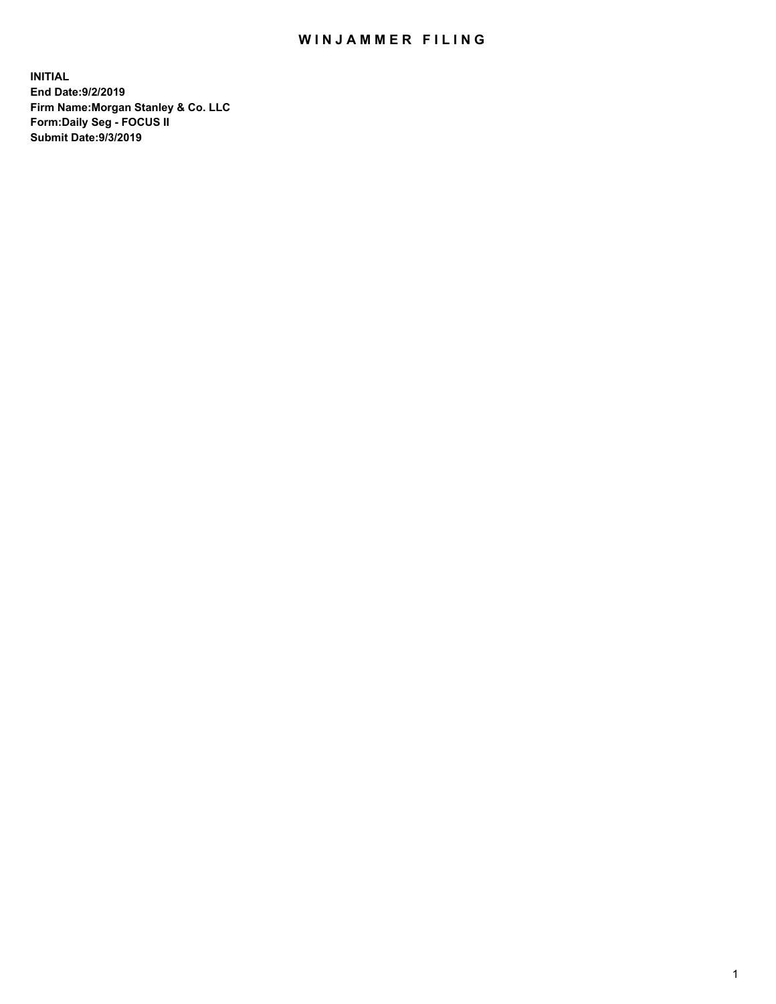## WIN JAMMER FILING

**INITIAL End Date:9/2/2019 Firm Name:Morgan Stanley & Co. LLC Form:Daily Seg - FOCUS II Submit Date:9/3/2019**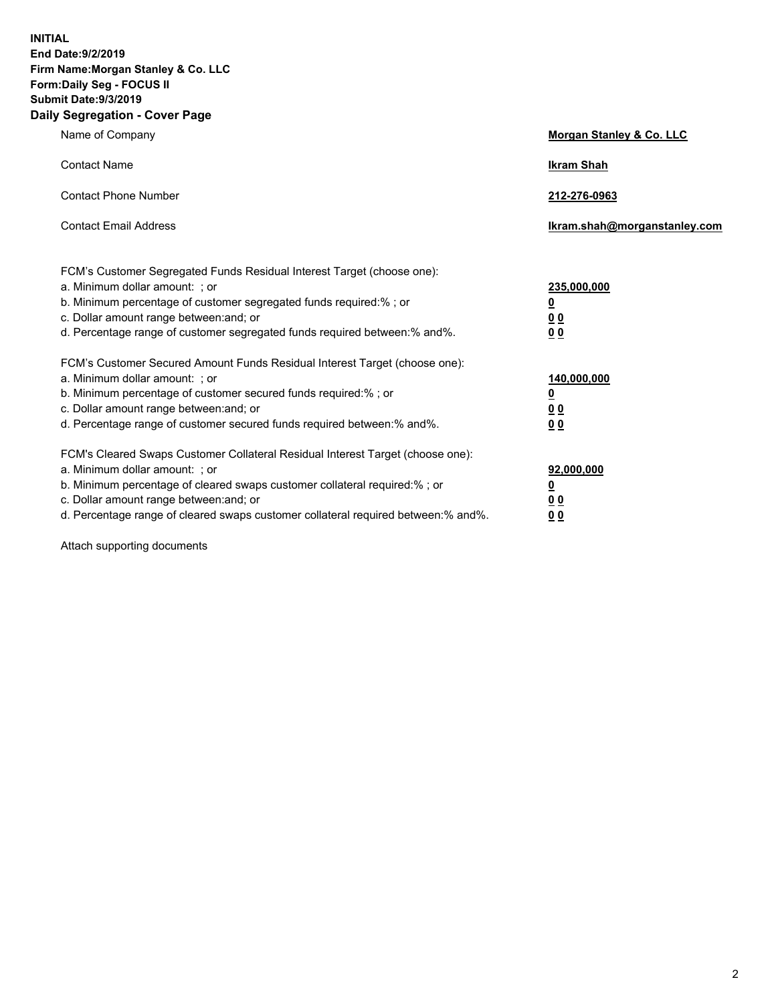**INITIAL End Date:9/2/2019 Firm Name:Morgan Stanley & Co. LLC Form:Daily Seg - FOCUS II Submit Date:9/3/2019 Daily Segregation - Cover Page**

| Name of Company                                                                                                                                                                                                                                                                                                                | Morgan Stanley & Co. LLC                                    |
|--------------------------------------------------------------------------------------------------------------------------------------------------------------------------------------------------------------------------------------------------------------------------------------------------------------------------------|-------------------------------------------------------------|
| <b>Contact Name</b>                                                                                                                                                                                                                                                                                                            | <b>Ikram Shah</b>                                           |
| <b>Contact Phone Number</b>                                                                                                                                                                                                                                                                                                    | 212-276-0963                                                |
| <b>Contact Email Address</b>                                                                                                                                                                                                                                                                                                   | Ikram.shah@morganstanley.com                                |
| FCM's Customer Segregated Funds Residual Interest Target (choose one):<br>a. Minimum dollar amount: ; or<br>b. Minimum percentage of customer segregated funds required:% ; or<br>c. Dollar amount range between: and; or<br>d. Percentage range of customer segregated funds required between:% and%.                         | 235,000,000<br><u>0</u><br>0 <sub>0</sub><br>00             |
| FCM's Customer Secured Amount Funds Residual Interest Target (choose one):<br>a. Minimum dollar amount: ; or<br>b. Minimum percentage of customer secured funds required:% ; or<br>c. Dollar amount range between: and; or<br>d. Percentage range of customer secured funds required between:% and%.                           | 140,000,000<br><u>0</u><br>0 <sub>0</sub><br>0 <sub>0</sub> |
| FCM's Cleared Swaps Customer Collateral Residual Interest Target (choose one):<br>a. Minimum dollar amount: ; or<br>b. Minimum percentage of cleared swaps customer collateral required:% ; or<br>c. Dollar amount range between: and; or<br>d. Percentage range of cleared swaps customer collateral required between:% and%. | 92,000,000<br><u>0</u><br>0 Q<br>0 <sub>0</sub>             |

Attach supporting documents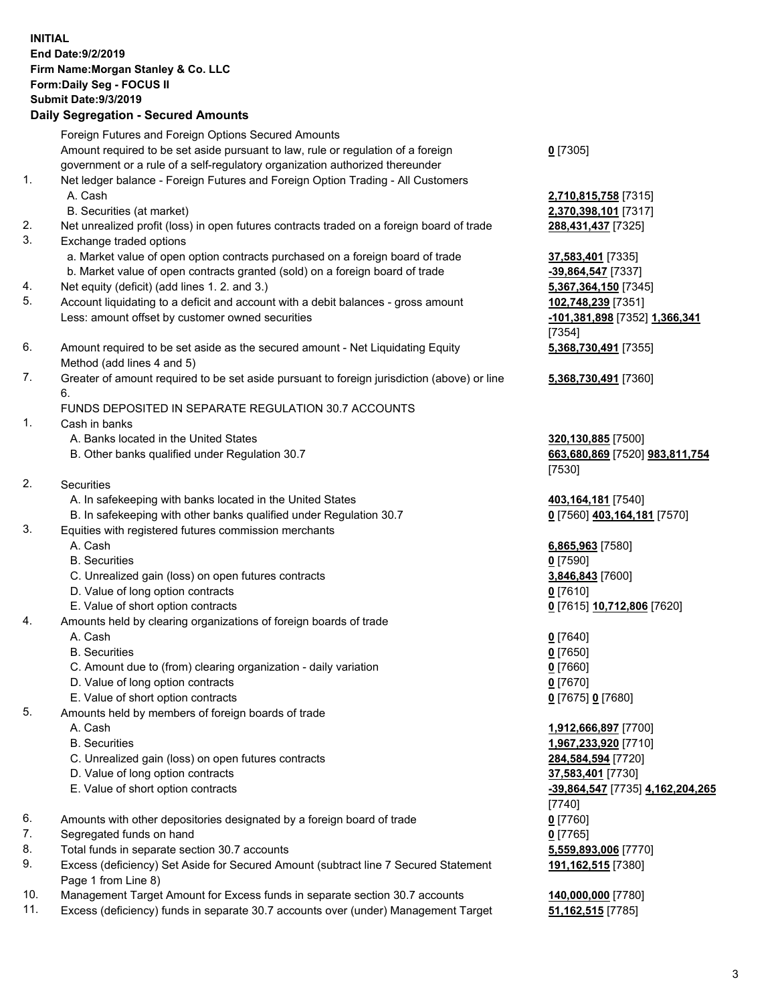| <b>INITIAL</b> | End Date: 9/2/2019<br>Firm Name: Morgan Stanley & Co. LLC<br>Form: Daily Seg - FOCUS II<br><b>Submit Date: 9/3/2019</b><br><b>Daily Segregation - Secured Amounts</b>                                                   |                                                                                    |
|----------------|-------------------------------------------------------------------------------------------------------------------------------------------------------------------------------------------------------------------------|------------------------------------------------------------------------------------|
|                | Foreign Futures and Foreign Options Secured Amounts<br>Amount required to be set aside pursuant to law, rule or regulation of a foreign<br>government or a rule of a self-regulatory organization authorized thereunder | $0$ [7305]                                                                         |
| 1.             | Net ledger balance - Foreign Futures and Foreign Option Trading - All Customers<br>A. Cash<br>B. Securities (at market)                                                                                                 | 2,710,815,758 [7315]<br>2,370,398,101 [7317]                                       |
| 2.<br>3.       | Net unrealized profit (loss) in open futures contracts traded on a foreign board of trade<br>Exchange traded options                                                                                                    | 288,431,437 [7325]                                                                 |
| 4.             | a. Market value of open option contracts purchased on a foreign board of trade<br>b. Market value of open contracts granted (sold) on a foreign board of trade<br>Net equity (deficit) (add lines 1.2. and 3.)          | 37,583,401 [7335]<br>-39,864,547 [7337]<br>5,367,364,150 [7345]                    |
| 5.             | Account liquidating to a deficit and account with a debit balances - gross amount<br>Less: amount offset by customer owned securities                                                                                   | 102,748,239 [7351]<br>-101,381,898 [7352] 1,366,341                                |
| 6.             | Amount required to be set aside as the secured amount - Net Liquidating Equity<br>Method (add lines 4 and 5)                                                                                                            | [7354]<br>5,368,730,491 [7355]                                                     |
| 7.             | Greater of amount required to be set aside pursuant to foreign jurisdiction (above) or line<br>6.                                                                                                                       | 5,368,730,491 [7360]                                                               |
| 1.             | FUNDS DEPOSITED IN SEPARATE REGULATION 30.7 ACCOUNTS<br>Cash in banks                                                                                                                                                   |                                                                                    |
|                | A. Banks located in the United States<br>B. Other banks qualified under Regulation 30.7                                                                                                                                 | 320,130,885 [7500]<br>663,680,869 [7520] 983,811,754<br>[7530]                     |
| 2.             | Securities<br>A. In safekeeping with banks located in the United States                                                                                                                                                 | 403,164,181 [7540]                                                                 |
| 3.             | B. In safekeeping with other banks qualified under Regulation 30.7<br>Equities with registered futures commission merchants                                                                                             | 0 [7560] 403,164,181 [7570]                                                        |
|                | A. Cash<br><b>B.</b> Securities                                                                                                                                                                                         | 6,865,963 [7580]<br>$0$ [7590]                                                     |
|                | C. Unrealized gain (loss) on open futures contracts<br>D. Value of long option contracts                                                                                                                                | 3,846,843 [7600]<br><u>0</u> [7610]                                                |
| 4.             | E. Value of short option contracts<br>Amounts held by clearing organizations of foreign boards of trade                                                                                                                 | 0 [7615] 10,712,806 [7620]                                                         |
|                | A. Cash<br><b>B.</b> Securities                                                                                                                                                                                         | $0$ [7640]<br>$0$ [7650]                                                           |
|                | C. Amount due to (from) clearing organization - daily variation<br>D. Value of long option contracts                                                                                                                    | $0$ [7660]<br>$0$ [7670]                                                           |
| 5.             | E. Value of short option contracts<br>Amounts held by members of foreign boards of trade<br>A. Cash                                                                                                                     | 0 [7675] 0 [7680]<br>1,912,666,897 [7700]                                          |
|                | <b>B.</b> Securities                                                                                                                                                                                                    | 1,967,233,920 [7710]                                                               |
|                | C. Unrealized gain (loss) on open futures contracts<br>D. Value of long option contracts<br>E. Value of short option contracts                                                                                          | 284,584,594 [7720]<br>37,583,401 [7730]<br><u>-39,864,547 [7735] 4,162,204,265</u> |
| 6.             | Amounts with other depositories designated by a foreign board of trade                                                                                                                                                  | [7740]<br>$0$ [7760]                                                               |
| 7.<br>8.       | Segregated funds on hand<br>Total funds in separate section 30.7 accounts                                                                                                                                               | $0$ [7765]                                                                         |
| 9.             | Excess (deficiency) Set Aside for Secured Amount (subtract line 7 Secured Statement<br>Page 1 from Line 8)                                                                                                              | 5,559,893,006 [7770]<br>191,162,515 [7380]                                         |
| 10.<br>11.     | Management Target Amount for Excess funds in separate section 30.7 accounts<br>Excess (deficiency) funds in separate 30.7 accounts over (under) Management Target                                                       | 140,000,000 [7780]<br><b>51,162,515</b> [7785]                                     |

3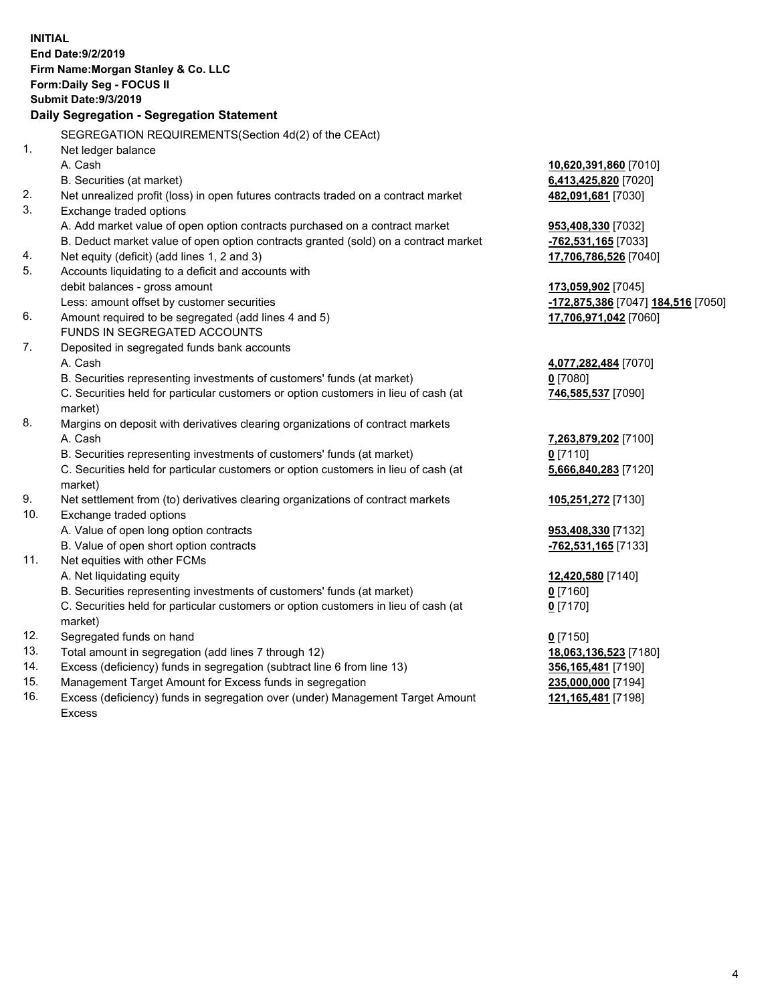|     | <b>INITIAL</b>                                                                                                                     |                                                 |
|-----|------------------------------------------------------------------------------------------------------------------------------------|-------------------------------------------------|
|     | End Date: 9/2/2019                                                                                                                 |                                                 |
|     | Firm Name: Morgan Stanley & Co. LLC                                                                                                |                                                 |
|     | Form: Daily Seg - FOCUS II                                                                                                         |                                                 |
|     | <b>Submit Date: 9/3/2019</b>                                                                                                       |                                                 |
|     | Daily Segregation - Segregation Statement                                                                                          |                                                 |
|     |                                                                                                                                    |                                                 |
| 1.  | SEGREGATION REQUIREMENTS(Section 4d(2) of the CEAct)                                                                               |                                                 |
|     | Net ledger balance                                                                                                                 |                                                 |
|     | A. Cash                                                                                                                            | 10,620,391,860 [7010]                           |
| 2.  | B. Securities (at market)                                                                                                          | 6,413,425,820 [7020]                            |
| 3.  | Net unrealized profit (loss) in open futures contracts traded on a contract market                                                 | 482,091,681 [7030]                              |
|     | Exchange traded options                                                                                                            |                                                 |
|     | A. Add market value of open option contracts purchased on a contract market                                                        | 953,408,330 [7032]                              |
| 4.  | B. Deduct market value of open option contracts granted (sold) on a contract market<br>Net equity (deficit) (add lines 1, 2 and 3) | -762,531,165 [7033]                             |
| 5.  | Accounts liquidating to a deficit and accounts with                                                                                | 17,706,786,526 [7040]                           |
|     | debit balances - gross amount                                                                                                      | 173,059,902 [7045]                              |
|     | Less: amount offset by customer securities                                                                                         | <mark>-172,875,386</mark> [7047] 184,516 [7050] |
| 6.  | Amount required to be segregated (add lines 4 and 5)                                                                               | 17,706,971,042 [7060]                           |
|     | FUNDS IN SEGREGATED ACCOUNTS                                                                                                       |                                                 |
| 7.  | Deposited in segregated funds bank accounts                                                                                        |                                                 |
|     | A. Cash                                                                                                                            | 4,077,282,484 [7070]                            |
|     | B. Securities representing investments of customers' funds (at market)                                                             | $0$ [7080]                                      |
|     | C. Securities held for particular customers or option customers in lieu of cash (at                                                | 746,585,537 [7090]                              |
|     | market)                                                                                                                            |                                                 |
| 8.  | Margins on deposit with derivatives clearing organizations of contract markets                                                     |                                                 |
|     | A. Cash                                                                                                                            | 7,263,879,202 [7100]                            |
|     | B. Securities representing investments of customers' funds (at market)                                                             | $0$ [7110]                                      |
|     | C. Securities held for particular customers or option customers in lieu of cash (at                                                | 5,666,840,283 [7120]                            |
|     | market)                                                                                                                            |                                                 |
| 9.  | Net settlement from (to) derivatives clearing organizations of contract markets                                                    | 105,251,272 [7130]                              |
| 10. | Exchange traded options                                                                                                            |                                                 |
|     | A. Value of open long option contracts                                                                                             | 953,408,330 [7132]                              |
|     | B. Value of open short option contracts                                                                                            | -762,531,165 [7133]                             |
| 11. | Net equities with other FCMs                                                                                                       |                                                 |
|     | A. Net liquidating equity                                                                                                          | 12,420,580 [7140]                               |
|     | B. Securities representing investments of customers' funds (at market)                                                             | 0 [7160]                                        |
|     | C. Securities held for particular customers or option customers in lieu of cash (at                                                | $0$ [7170]                                      |
|     | market)                                                                                                                            |                                                 |
| 12. | Segregated funds on hand                                                                                                           | $0$ [7150]                                      |
| 13. | Total amount in segregation (add lines 7 through 12)                                                                               | 18,063,136,523 [7180]                           |
| 14. | Excess (deficiency) funds in segregation (subtract line 6 from line 13)                                                            | 356,165,481 [7190]                              |
| 15. | Management Target Amount for Excess funds in segregation                                                                           | 235,000,000 [7194]                              |

16. Excess (deficiency) funds in segregation over (under) Management Target Amount Excess

**121,165,481** [7198]